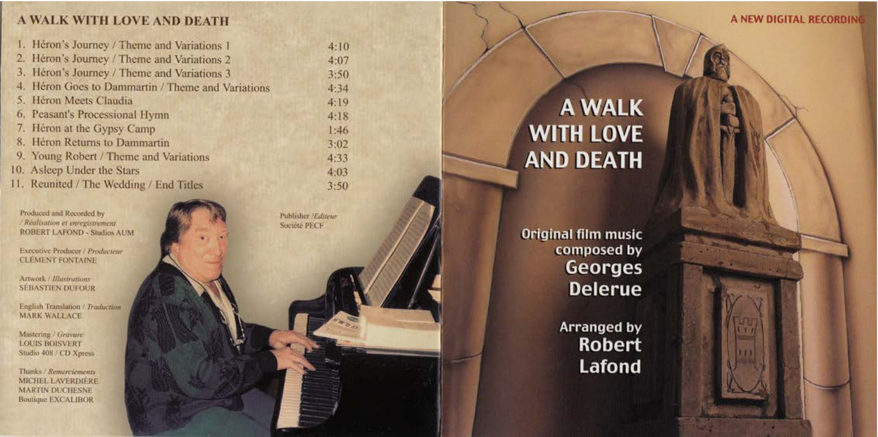# A WALK WITH LOVE AND DEATH

| 1. Héron's Journey / Theme and Variations 1       | 4:11 |
|---------------------------------------------------|------|
| 2. Héron's Journey / Theme and Variations 2       | 4:0  |
| 3. Héron's Journey / Theme and Variations 3       | 3:51 |
| 4. Héron Goes to Dammartin / Theme and Variations | 4:34 |
| 5. Héron Meets Claudia                            | 4:1' |
| 6. Peasant's Processional Hymn                    | 4:11 |
| 7. Héron at the Gypsy Camp                        | 1:40 |
| 8. Héron Returns to Dammartin                     | 3:01 |
| 9. Young Robert / Theme and Variations            | 4:31 |
| 0. Asleep Under the Stars                         | 4:0. |
| 1. Reunited / The Wedding / End Titles            | 3.50 |

Produced and Recorded by / Réalisation et enregistrement **ROBERT LAFOND - Studios AUM** 

**Executive Producer / Producteur CLÉMENT FONTAINE** 

Artwork / Illustrations **SÉBASTIEN DUFOUR** 

English Translation / Traduction **MARK WALLACE** 

Mastering / Gravure **LOUIS BOISVERT** Studio 408 / CD Xpress

Thanks / Remerciements MICHEL LAVERDIÈRE **MARTIN DUCHESNE Boutique EXCALIBOR** 

Publisher /Editeur Société PECF



**Original film music** composed by **Georges Delerue** 

> **Arranged by Robert Lafond**

A NEW DIGITAL RECORDING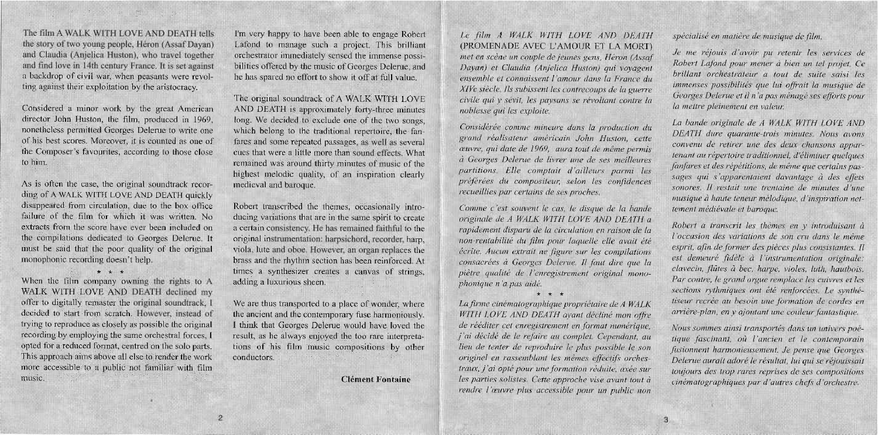## The film A WALK WITH LOVE AND DEATH tells the story of two young people, Héron (Assaf Dayan) and Claudia (Anjelica Huston), who travel together and find love in 14th century France. It is set against a backdrop of civil war, when peasants were revolting against their exploitation by the aristocracy.

Considered a minor work by the great American director John Huston, the film, produced in 1969, nonetheless permitted Georges Delerue to write one of his best scores. Moreover, it is counted as one of the Composer's favourites, according to those close to him.

As is often the case, the original soundtrack recording of A WALK WITH LOVE AND DEATH quickly disappeared from circulation, due to the box office failure of the film for which it was written. No extracts from the score have ever been included on the compilations dedicated to Georges Delerue. It must be said that the poor quality of the original monophonic recording doesn't help.

\* \* \*

When the film company owning the rights to A WALK WITH LOVE AND DEATH declined my offer to digitally remaster the original soundtrack, I decided to start from scratch. However, instead of trying to reproduce as closely as possible the original recording by employing the same orchestral forces, I opted for a reduced format, centred on the solo parts. This approach aims above all else to render the work more accessible to a public not familiar with film music.

I'm very happy to have been able to engage Robert Lafond to manage such a project. This brilliant orchestrator immediately sensed the immense possibilities offered by the music of Georges Delerue, and he has spared no effort to show it off at full value.

The original soundtrack of A WALK WITH LOVE AND DEATH is approximately forty-three minutes long. We decided to exclude one of the two songs, which belong to the traditional repertoire, the fanfares and some repeated passages, as well as several cues that were a little more than sound effects. What remained was around thirty minutes of music of the highest melodic quality, of an inspiration clearly medieval and baroque.

Robert transcribed the themes, occasionally introducing variations that are in the same spirit to create a certain consistency. He has remained faithful to the original instrumentation: harpsichord, recorder, harp, viola, lute and oboe. However, an organ replaces the brass and the rhythm section has been reinforced. At times a synthesizer creates a canvas of strings, adding a luxurious sheen.

We are thus transported to a place of wonder, where the ancient and the contemporary fuse harmoniously. I think that Georges Delerue would have loved the result, as he always enjoyed the too rare interpretations of his film music compositions by other conductors.

#### **Clément Fontaine**

Le film A WALK WITH LOVE AND DEATH (PROMENADE AVEC L'AMOUR ET LA MORT) met en scène un couple de jeunes gens, Héron (Assaf Davan) et Claudia (Anjelica Huston) qui vovagent ensemble et connaissent l'amour dans la France du XIVe siècle. Ils subissent les contrecoups de la guerre civile qui y sévit, les paysans se révoltant contre la noblesse qui les exploite.

Considérée comme mineure dans la production du grand réalisateur américain John Huston, cette œuvre, qui date de 1969, aura tout de même permis à Georges Delerue de livrer une de ses meilleures partitions. Elle comptait d'ailleurs parmi les préférées du compositeur, selon les confidences recueillies par certains de ses proches.

Comme c'est souvent le cas, le disque de la bande originale de A WALK WITH LOVE AND DEATH a rapidement dispary de la circulation en raison de la non-rentabilité du film pour laquelle elle avait été écrite. Aucun extrait ne figure sur les compilations consacrées à Georges Delerue. Il faut dire que la piètre qualité de l'enregistrement original monophonique n'a pas aidé.

\* \* \*

La firme cinématographique propriétaire de A WALK WITH LOVE AND DEATH avant décliné mon offre de rééditer cet enregistrement en format numérique. j'ai décidé de le refaire au complet. Cependant, au lieu de tenter de reproduire le plus possible le son originel en rassemblant les mêmes effectifs orchestraux, j'ai opté pour une formation réduite, axée sur les parties solistes. Cette approche vise avant tout à rendre l'œuvre plus accessible pour un public non

spécialisé en matière de musique de film.

Je me réjouis d'avoir pu retenir les services de Robert Lafond pour mener à bien un tel projet. Ce brillant orchestrateur a tout de suite saisi les immenses possibilités que lui offrait la musique de Georges Delerue et il n'a pas ménagé ses efforts pour la mettre pleinement en valeur.

La bande originale de A WALK WITH LOVE AND DEATH dure quarante-trois minutes. Nous avons convenu de retirer une des deux chansons appartenant au répertoire traditionnel, d'éliminer quelques fanfares et des répétitions, de même que certains passages qui s'apparentaient davantage à des effets sonores. Il restait une trentaine de minutes d'une musique à haute teneur mélodique, d'inspiration nettement médiévale et baroque.

Robert a transcrit les thèmes en y introduisant à l'occasion des variations de son cru dans le même esprit, afin de former des pièces plus consistantes. Il est demeuré fidèle à l'instrumentation originale: clavecin, flûtes à bec, harpé, violes, luth, hautbois, Par contre, le grand orgue remplace les cuivres et les sections rythmiques ont êté renforcées. Le synthétiseur recrée au besoin une formation de cordes en arrière-plan, en v ajoutant une couleur fantastique.

Nous sommes ainsi transportés dans un univers poétique fascinant, où l'ancien et le contemporain fusionnent harmonicusement. Je pense que Georges Delerue aurait adoré le résultat, lui qui se réjouissait toujours des trop rares reprises de ses compositions cinématographiques par d'autres chefs d'orchestre.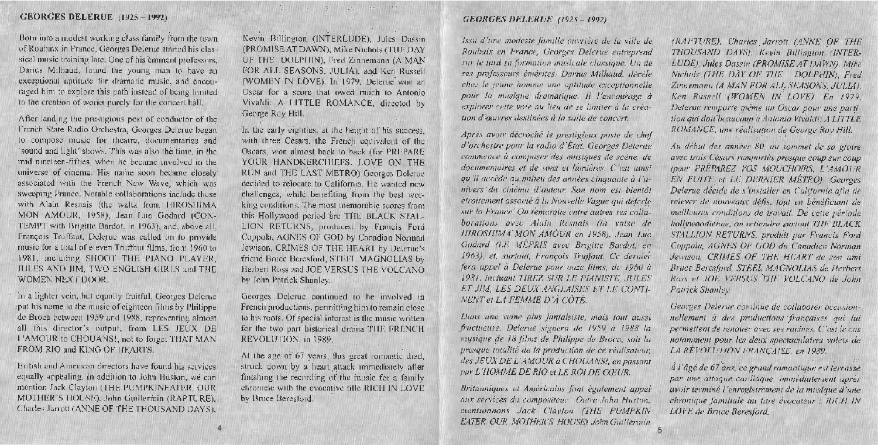### **GEORGES DELERUE (1925 - 1992)**

Born into a modest working class family from the town of Roubaix in France, Georges Delerue started his classical music training late. One of his eminent professors, Darius Milhaud, found the young man to have an exceptional aptitude for dramatic music, and encouraged him to explore this path instead of being limited to the creation of works purely for the concert hall.

After landing the prestigious post of conductor of the French State Radio Orchestra, Georges Delerue began to compose music for theatre, documentaries and 'sound and light' shows. This was also the time, in the mid nineteen-fifties, when he became involved in the universe of cinema. His name soon became closely associated with the French New Wave, which was sweeping France. Notable collaborations include those with Alain Resnais (the waltz from HIROSHIMA MON AMOUR, 1958), Jean Luc Godard (CON-TEMPT with Brigitte Bardot, in 1963), and, above all. François Truffaut. Deletue was called on to provide music for a total of eleven Truffiaut films, from 1960 to 1981, including SHOOT THE PIANO PLAYER, JULES AND JIM, TWO ENGLISH GIRLS and THE WOMEN NEXT DOOR.

In a lighter vein, but equally fruitful, Georges Delerue put his name to the music of cighteen films by Philippe de Broca between 1959 and 1988, representing almost all this director's output, from LES JEUX DB 1.'AMOUR to CHOUANS!, not to forget THAT MAN FROM RIO and KING OF HEARTS

British and American directors have found his services equally appealing. In addition to John Huston, we can mention Jack Clayton (THE PUMPKINEATER, OUR MOTHER'S HOUSE). John Guillermin (RAPTURE). Charles Jarrott (ANNE OF THE THOUSAND DAYS).

tal and the man of the state

Kevin Billington (INTERLUDE). Jules Dassin (PROMISE AT DAWN), Mike Nichols (THE DAY OF THE DOLPHIN), Fred Zinnemann (A MAN FOR ALL SEASONS, JULIA), and Ken Russell (WOMEN IN LOVE). In 1979, Delerue won an Oscar for a score that owed much to Antonio Vivaldi: A LITTLE ROMANCE, directed by George Roy Hill.

In the early eighties, at the height of his success, with three Césars, the French equivalent of the Oscars, won almost back to back (for PREPARE YOUR HANDKERCHIEFS. LOVE ON THE RUN and THE LAST METRO) Georges Delerue decided to relocate to California. He wanted new challenges, while benefiting from the best working conditions. The most memorable scores from this Hollywood period are THE BLACK STAL-LION RETURNS, produced by Francis Ford Coppola, AGNES OF GOD by Canadian Norman Jewison, CRIMES OF THE HEART by Delerge's friend Bruce Beresford, STEEL MAGNOLIAS by Herbert Ross and JOE VERSUS THE VOLCANO by John Patrick Shanley.

Georges Delerue continued to be involved in French productions, permitting him to remain close to his roots. Of special interest is the music written for the two part historical drama THE FRENCH REVOLUTION, in 1989.

At the age of 67 years, this great romantic died, struck down by a heart attack immediately after finishing the recording of the music for a family chromcle with the evocative title RICH IN LOVE by Bruce Beresford.

#### **GEORGES DELERUE (1925-1992)**

Issu d'une modeste famille ouvrière de la ville de Roubaix en France, Georges Delerue entreprend sur le tard sa formation musicale classique. Un de ses professeurs émérites. Darius Milhaud, décèle chez le jeune homme une aptitude exceptionnelle pour la musique dramatique. Il l'encourage à explorer cette voie au lieu de se limiter à la création d'œuvres destinées à la salle de concert.

Après avoir décroché le prestigieux poste de chef. d'orchestre pour la radio d'État, Georges Delerue commence à compaser des musiques de scène, de documentaires et de vons et lumières. C'est ainsi qu'il accède au milieu des années cinquante à l'univers du cinéma d'auteur. Son nom est bientôt étroitement associé à la Nouvelle Vague qui déferle sur la France. On remarque entre autres ses collàborations avec Alain Resnais (la valse de **HIROSHIMA MON AMOUR en 1958)**, Jean Luc. Godard (LE MEPRIS avec Brigitte Bardot, en 1963), et. surtout, François Truffaut, Ce dernier fera appei à Delerue pour onze films, de 1960 à 1981, incluant TIREZ SUR LE PIANISTE, JULES ET JIM, LES DEUX ANGLAISES ET LE CONTI-NENT et LA FEMME D'À CÔTÉ.

Dans une veine plus fantaisiste, mais tout aussi fructueuse, Delerue signera de 1959 à 1988 la musique de 18 films de Philippe de Broca, soit la presque totalité de la production de ce réalisateur. des JEUX DE L'AMOUR à CHOUANS!, en passant par L'HOMME DE RIO et LE ROI DE CŒUR.

Britanniques et Américains font également appel aux services du compositeur. Outre John Huston, mentionnons Jack Clayton (THE : PUMPKIN EATER, OUR MOTHER'S HOUSE), John Guillermin (RAPTURE), Charles Jarrott (ANNE OF THE THOUSAND DAYS), Kevin Billington (INTER-LUDE), Jules Dassin (PROMISE AT DAWN), Mike Nichols (THE DAY OF THE DOLPHIN), Fred Zinnemann (A MAN FOR ALL SEASONS, JULIA). Ken Russell (WOMEN IN LOVE). En 1979, Delerue remporte même un Oscar pour une partition din doit beaucoup à Antonio Vivaldi. A LITTLE ROMANCE, une réalisation de George Roy Hill.

Au début des années 80, au sommet de sa gloire avec trois Césars remportés presque coup sur coup (pow: PREPAREZ VOS MOUCHOIRS, L'AMOUR EN FUITE et LE DERNIER MÉTRO). Georges Delerue décide de s'installer en Californie afin de relever de nouveaux défis, tout en bénéficiant de meilleures conditions de travail. De cette période hollywoodienne, on retiendra surtout THE BLACK STALLION RETURNS, produit par Francis Ford Coppola, AGNES OF GOD du Canadien Norman Jewison, CRIMES OF THE HEART de son ami Bruce Beresford, STEEL MAGNOLIAS de Herbert Ross et JOE VERSUS THE VOLCANO de John Patrick Shanley.

Georges Delerue continue de collaborer occasionnellement à des productions françaises qui lui permettent de renouer avec ses racines. C'est le cas notamment pour les deux spectaculaires volets de LA REVOLUTION FRANCAISE, en 1989.

À l'âgé de 67 ans, ce grand romantique est terrossé par une attaque cardiaque, immédiatement après avoir terminé l'enregistrement de la musique d'une chronique familiale au titre évocateur : RICH IN LOVE de Bruce Reresford.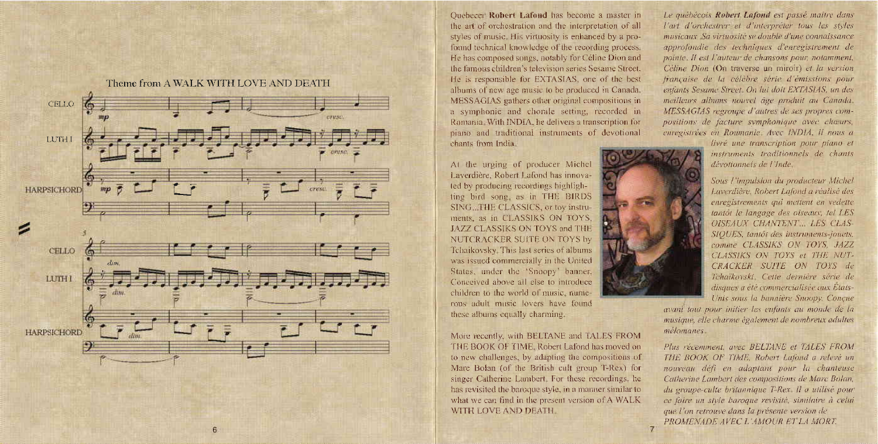

Quebecer Robert Lafond has become a master in the art of orchestration and the interpretation of all styles of music. His virtuosity is enhanced by a profound technical knowledge of the recording process. He has composed songs, notably for Céline Dion and the famous children's television series Sesame Street. He is responsible for EXTASIAS, one of the best albums of new age music to be produced in Canada. MESSAGIAS gathers other original compositions in a symphonic and chorale setting, recorded in Romania, With INDIA, he delivers a transcription for piano and traditional instruments of devotional chants from India.

At the urging of producer Michel Laverdière, Robert Lafond has innovated by producing recordings highlighting bird song as in THE BIRDS SING THE CLASSICS, or toy instruments, as in CLASSIKS ON TOYS. JAZZ CLASSIKS ON TOYS and THE NUTCRACKER SUITE ON TOYS by Tchaikovsky. This last series of albums was issued commercially in the United States, under the 'Snoopy' banner. Conceived above all else to introduce children to the world of music numerous adult music lovers have found these albums equally charming.

More recently, with BELTANE and TALES FROM THE BOOK OF TIME, Robert Lafond has moved on to new challenges, by adapting the compositions of Marc Bolan (of the British cult group T-Rex) for singer Catherine Lambert. For these recordings, he has revisited the baroque style, in a manner similar to what we can find in the present version of A WALK WITH LOVE AND DEATH.

Le québécois Robert Lafond est passé maître dans l'art d'orchestrer et d'interpréter tous les styles musicaux. Sa virtuosité se double d'une connaissance approfondie des techniques d'enregistrement de pointe. Il est l'auteur de chansons pour, notamment, Céline Dion (On traverse un miroir) et la version française de la célèbre série d'émissions pour enfants Sesame Street. On hij doit EXTASIAS, un des meilleurs albums nouvel âge produit au Canada. MESSAGIAS regroupe d'autres de ses propres compositions de facture symphonique avec chaurs. enregistrées en Roumanie, Avec INDIA, il nous a

livré une transcription pour plano et instruments traditionnels de chants dévotionnels de l'Inde-

Sous l'impulsion du producteur Michel Laverdière, Robert Lafond a réalisé des enregistrements qui mettent en vedette tantôt le langage des oiseaux, tel LES **OISEAUX CHANTENT... LES CLAS-**SIOUES, tantôt des instruments-jouets, comme CLASSIKS ON TOYS, JAZZ CLASSIKS ON TOYS et THE NUT-CRACKER SUITE ON TOYS de Tchaïkovski Cette dernière série de disques a été commercialisée quy États-Unis sous la bannière Snoopy. Concue

avant tout pour initier les enfants au monde de la musique, elle charme également de nombreux adultes mélomanes.

Plus récemment avec BELTANE et TALES FROM THE BOOK OF TIME, Robert Lafond a relevé un nouveau défi en adaptant pour la chanteuse Catherine Lambert des compositions de Marc Bolan, du groupe-culte britannique T-Rex. Il a utilisé pour ce faire un style baroque revisité, similaire à celui que l'on retrouve dans la présente version de PROMENADE AVEC L'AMOUR ET LA MORT.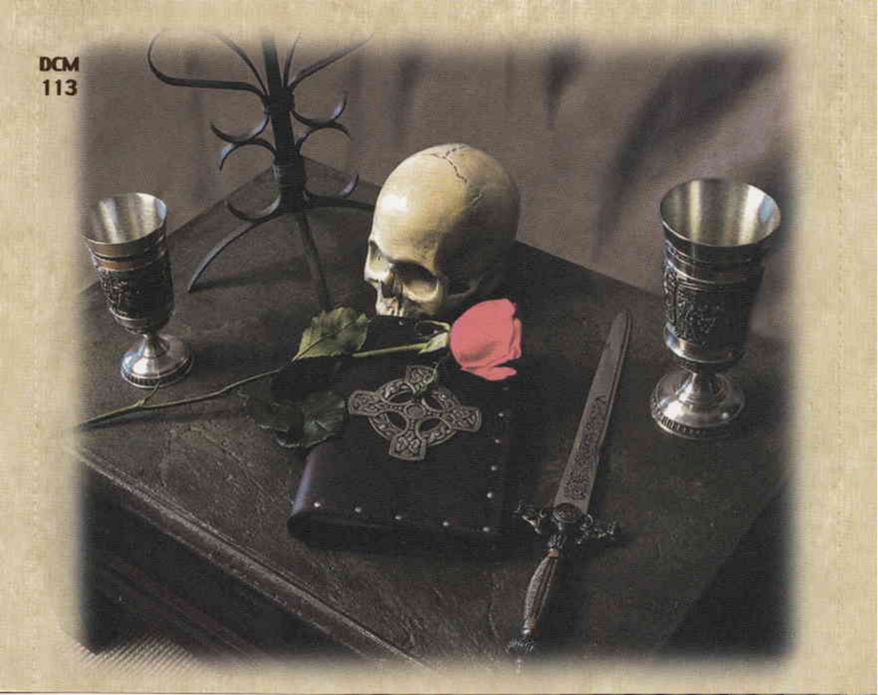